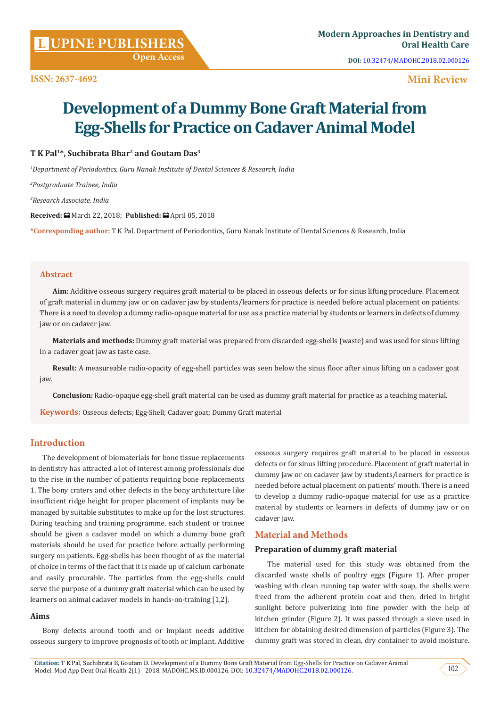**DOI:** [10.32474/MADOHC.2018.02.000126](http://dx.doi.org/10.32474/MADOHC.2018.02.000126
)

# **Mini Review**

# **Development of a Dummy Bone Graft Material from Egg-Shells for Practice on Cadaver Animal Model**

# **T K Pal1\*, Suchibrata Bhar2 and Goutam Das3**

*1 Department of Periodontics, Guru Nanak Institute of Dental Sciences & Research, India*

*2 Postgraduate Trainee, India*

*3 Research Associate, India*

**Received:** March 22, 2018; **Published:** April 05, 2018

**\*Corresponding author:** T K Pal, Department of Periodontics, Guru Nanak Institute of Dental Sciences & Research, India

#### **Abstract**

**Aim:** Additive osseous surgery requires graft material to be placed in osseous defects or for sinus lifting procedure. Placement of graft material in dummy jaw or on cadaver jaw by students/learners for practice is needed before actual placement on patients. There is a need to develop a dummy radio-opaque material for use as a practice material by students or learners in defects of dummy jaw or on cadaver jaw.

**Materials and methods:** Dummy graft material was prepared from discarded egg-shells (waste) and was used for sinus lifting in a cadaver goat jaw as taste case.

**Result:** A measureable radio-opacity of egg-shell particles was seen below the sinus floor after sinus lifting on a cadaver goat jaw.

**Conclusion:** Radio-opaque egg-shell graft material can be used as dummy graft material for practice as a teaching material.

**Keywords:** Osseous defects; Egg-Shell; Cadaver goat; Dummy Graft material

# **Introduction**

The development of biomaterials for bone tissue replacements in dentistry has attracted a lot of interest among professionals due to the rise in the number of patients requiring bone replacements 1. The bony craters and other defects in the bony architecture like insufficient ridge height for proper placement of implants may be managed by suitable substitutes to make up for the lost structures. During teaching and training programme, each student or trainee should be given a cadaver model on which a dummy bone graft materials should be used for practice before actually performing surgery on patients. Egg-shells has been thought of as the material of choice in terms of the fact that it is made up of calcium carbonate and easily procurable. The particles from the egg-shells could serve the purpose of a dummy graft material which can be used by learners on animal cadaver models in hands-on-training [1,2].

#### **Aims**

Bony defects around tooth and or implant needs additive osseous surgery to improve prognosis of tooth or implant. Additive osseous surgery requires graft material to be placed in osseous defects or for sinus lifting procedure. Placement of graft material in dummy jaw or on cadaver jaw by students/learners for practice is needed before actual placement on patients' mouth. There is a need to develop a dummy radio-opaque material for use as a practice material by students or learners in defects of dummy jaw or on cadaver jaw.

# **Material and Methods**

## **Preparation of dummy graft material**

The material used for this study was obtained from the discarded waste shells of poultry eggs (Figure 1). After proper washing with clean running tap water with soap, the shells were freed from the adherent protein coat and then, dried in bright sunlight before pulverizing into fine powder with the help of kitchen grinder (Figure 2). It was passed through a sieve used in kitchen for obtaining desired dimension of particles (Figure 3). The dummy graft was stored in clean, dry container to avoid moisture.

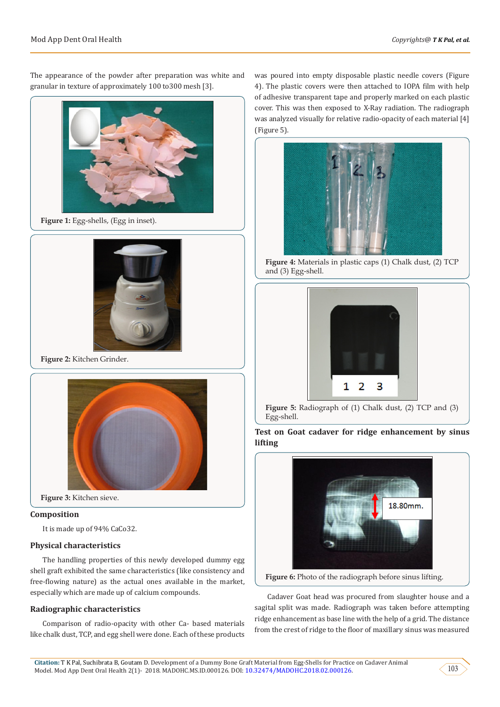The appearance of the powder after preparation was white and granular in texture of approximately 100 to300 mesh [3].



**Figure 1:** Egg-shells, (Egg in inset).



**Figure 2:** Kitchen Grinder.



**Figure 3:** Kitchen sieve.

### **Composition**

It is made up of 94% CaCo32.

#### **Physical characteristics**

The handling properties of this newly developed dummy egg shell graft exhibited the same characteristics (like consistency and free-flowing nature) as the actual ones available in the market, especially which are made up of calcium compounds.

#### **Radiographic characteristics**

Comparison of radio-opacity with other Ca- based materials like chalk dust, TCP, and egg shell were done. Each of these products

was poured into empty disposable plastic needle covers (Figure 4). The plastic covers were then attached to IOPA film with help of adhesive transparent tape and properly marked on each plastic cover. This was then exposed to X-Ray radiation. The radiograph was analyzed visually for relative radio-opacity of each material [4] (Figure 5).



**Figure 4:** Materials in plastic caps (1) Chalk dust, (2) TCP and (3) Egg-shell.



**Figure 5:** Radiograph of (1) Chalk dust, (2) TCP and (3) Egg-shell.

**Test on Goat cadaver for ridge enhancement by sinus lifting**



**Figure 6:** Photo of the radiograph before sinus lifting.

Cadaver Goat head was procured from slaughter house and a sagital split was made. Radiograph was taken before attempting ridge enhancement as base line with the help of a grid. The distance from the crest of ridge to the floor of maxillary sinus was measured